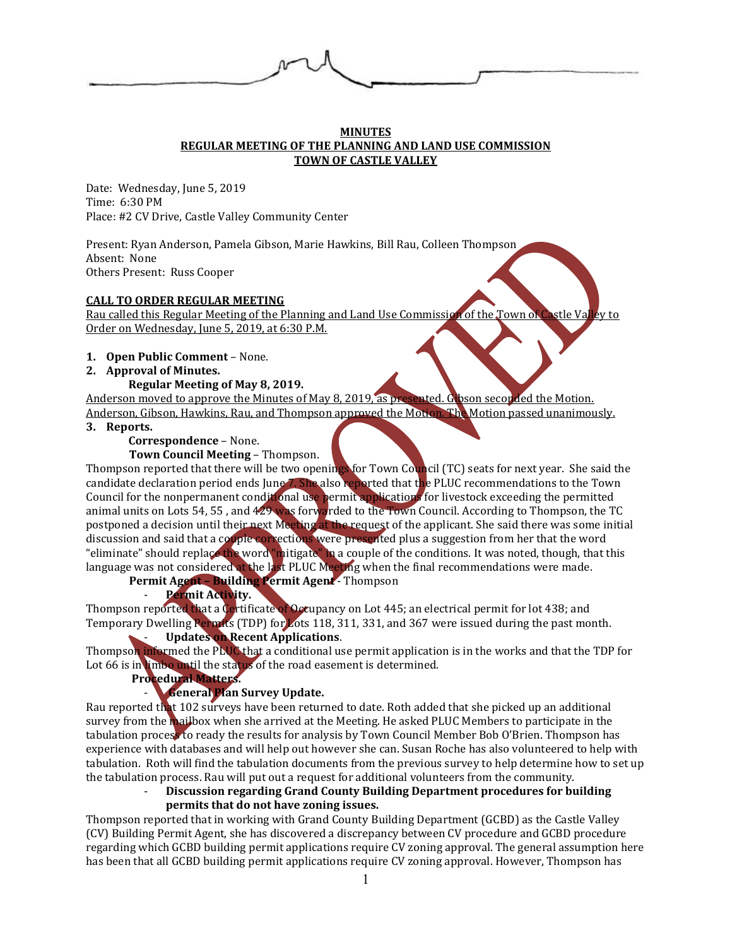

## **MINUTES REGULAR MEETING OF THE PLANNING AND LAND USE COMMISSION TOWN OF CASTLE VALLEY**

Date: Wednesday, June 5, 2019 Time: 6:30 PM Place: #2 CV Drive, Castle Valley Community Center

Present: Ryan Anderson, Pamela Gibson, Marie Hawkins, Bill Rau, Colleen Thompson Absent: None Others Present: Russ Cooper

## **CALL TO ORDER REGULAR MEETING**

Rau called this Regular Meeting of the Planning and Land Use Commission of the Town of Castle Valley to Order on Wednesday, June 5, 2019, at 6:30 P.M.

- **1. Open Public Comment** None.
- **2. Approval of Minutes.**

## **Regular Meeting of May 8, 2019.**

Anderson moved to approve the Minutes of May 8, 2019, as presented. G bson seconded the Motion. Anderson, Gibson, Hawkins, Rau, and Thompson approved the Motion. The Motion passed unanimously.

**3. Reports.**

# **Correspondence** – None.

# **Town Council Meeting** – Thompson.

Thompson reported that there will be two openings for Town Council (TC) seats for next year. She said the candidate declaration period ends June 7. She also reported that the PLUC recommendations to the Town Council for the nonpermanent conditional use permit applications for livestock exceeding the permitted animal units on Lots 54, 55, and 429 was forwarded to the Town Council. According to Thompson, the TC postponed a decision until their next Meeting at the request of the applicant. She said there was some initial discussion and said that a couple corrections were presented plus a suggestion from her that the word "eliminate" should replace the word "mitigate" in a couple of the conditions. It was noted, though, that this language was not considered at the last PLUC Meeting when the final recommendations were made. **Permit Agent – Building Permit Agent** - Thompson

- **Permit Activity.**

Thompson reported that a Certificate of Occupancy on Lot 445; an electrical permit for lot 438; and Temporary Dwelling Permits (TDP) for Lots 118, 311, 331, and 367 were issued during the past month.

# - **Updates on Recent Applications**.

Thompson informed the PLUC that a conditional use permit application is in the works and that the TDP for Lot 66 is in limbo until the status of the road easement is determined.

# **Procedural Matters.**

# - **General Plan Survey Update.**

Rau reported that 102 surveys have been returned to date. Roth added that she picked up an additional survey from the mailbox when she arrived at the Meeting. He asked PLUC Members to participate in the tabulation process to ready the results for analysis by Town Council Member Bob O'Brien. Thompson has experience with databases and will help out however she can. Susan Roche has also volunteered to help with tabulation. Roth will find the tabulation documents from the previous survey to help determine how to set up the tabulation process. Rau will put out a request for additional volunteers from the community.

# - **Discussion regarding Grand County Building Department procedures for building permits that do not have zoning issues.**

Thompson reported that in working with Grand County Building Department (GCBD) as the Castle Valley (CV) Building Permit Agent, she has discovered a discrepancy between CV procedure and GCBD procedure regarding which GCBD building permit applications require CV zoning approval. The general assumption here has been that all GCBD building permit applications require CV zoning approval. However, Thompson has